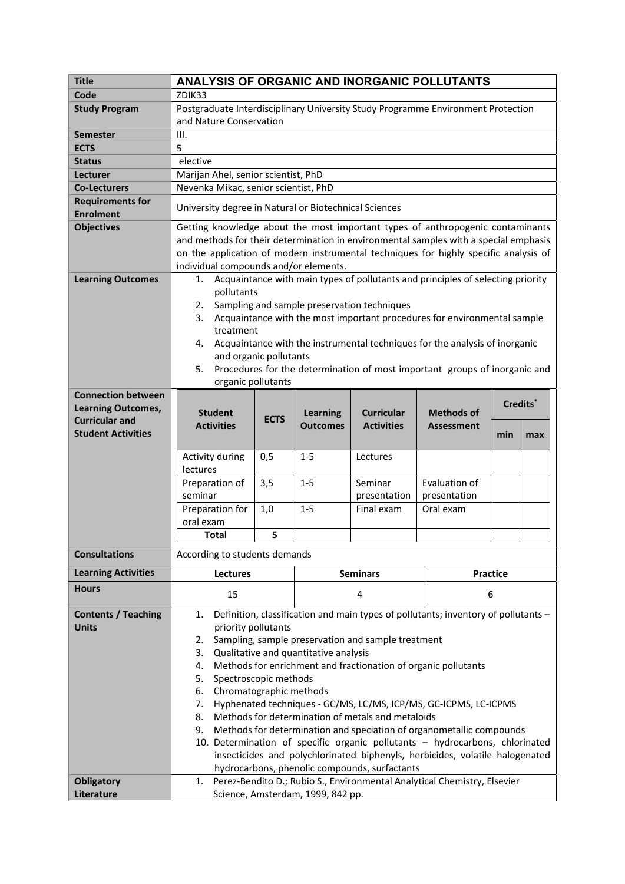| <b>Title</b>                                | ANALYSIS OF ORGANIC AND INORGANIC POLLUTANTS                                                                                                                                                                                                                                                            |                        |                                    |                   |                   |     |                      |  |
|---------------------------------------------|---------------------------------------------------------------------------------------------------------------------------------------------------------------------------------------------------------------------------------------------------------------------------------------------------------|------------------------|------------------------------------|-------------------|-------------------|-----|----------------------|--|
| Code                                        | ZDIK33                                                                                                                                                                                                                                                                                                  |                        |                                    |                   |                   |     |                      |  |
| <b>Study Program</b>                        | Postgraduate Interdisciplinary University Study Programme Environment Protection                                                                                                                                                                                                                        |                        |                                    |                   |                   |     |                      |  |
|                                             | and Nature Conservation                                                                                                                                                                                                                                                                                 |                        |                                    |                   |                   |     |                      |  |
| <b>Semester</b>                             | III.                                                                                                                                                                                                                                                                                                    |                        |                                    |                   |                   |     |                      |  |
| <b>ECTS</b>                                 | 5                                                                                                                                                                                                                                                                                                       |                        |                                    |                   |                   |     |                      |  |
| <b>Status</b>                               | elective                                                                                                                                                                                                                                                                                                |                        |                                    |                   |                   |     |                      |  |
| Lecturer                                    | Marijan Ahel, senior scientist, PhD                                                                                                                                                                                                                                                                     |                        |                                    |                   |                   |     |                      |  |
| <b>Co-Lecturers</b>                         | Nevenka Mikac, senior scientist, PhD                                                                                                                                                                                                                                                                    |                        |                                    |                   |                   |     |                      |  |
| <b>Requirements for</b><br><b>Enrolment</b> | University degree in Natural or Biotechnical Sciences                                                                                                                                                                                                                                                   |                        |                                    |                   |                   |     |                      |  |
| <b>Objectives</b>                           | Getting knowledge about the most important types of anthropogenic contaminants<br>and methods for their determination in environmental samples with a special emphasis<br>on the application of modern instrumental techniques for highly specific analysis of<br>individual compounds and/or elements. |                        |                                    |                   |                   |     |                      |  |
| <b>Learning Outcomes</b>                    | Acquaintance with main types of pollutants and principles of selecting priority<br>1.                                                                                                                                                                                                                   |                        |                                    |                   |                   |     |                      |  |
|                                             | pollutants                                                                                                                                                                                                                                                                                              |                        |                                    |                   |                   |     |                      |  |
|                                             | Sampling and sample preservation techniques<br>2.<br>3.                                                                                                                                                                                                                                                 |                        |                                    |                   |                   |     |                      |  |
|                                             | Acquaintance with the most important procedures for environmental sample<br>treatment                                                                                                                                                                                                                   |                        |                                    |                   |                   |     |                      |  |
|                                             | Acquaintance with the instrumental techniques for the analysis of inorganic<br>4.                                                                                                                                                                                                                       |                        |                                    |                   |                   |     |                      |  |
|                                             |                                                                                                                                                                                                                                                                                                         | and organic pollutants |                                    |                   |                   |     |                      |  |
|                                             | Procedures for the determination of most important groups of inorganic and<br>5.                                                                                                                                                                                                                        |                        |                                    |                   |                   |     |                      |  |
|                                             | organic pollutants                                                                                                                                                                                                                                                                                      |                        |                                    |                   |                   |     |                      |  |
| <b>Connection between</b>                   |                                                                                                                                                                                                                                                                                                         |                        |                                    |                   |                   |     |                      |  |
| <b>Learning Outcomes,</b>                   | <b>Student</b>                                                                                                                                                                                                                                                                                          |                        |                                    | <b>Curricular</b> | <b>Methods of</b> |     | Credits <sup>*</sup> |  |
| <b>Curricular and</b>                       | <b>Activities</b>                                                                                                                                                                                                                                                                                       | <b>ECTS</b>            | <b>Learning</b><br><b>Outcomes</b> | <b>Activities</b> | <b>Assessment</b> |     |                      |  |
| <b>Student Activities</b>                   |                                                                                                                                                                                                                                                                                                         |                        |                                    |                   |                   | min | max                  |  |
|                                             |                                                                                                                                                                                                                                                                                                         |                        |                                    |                   |                   |     |                      |  |
|                                             | Activity during<br>lectures                                                                                                                                                                                                                                                                             | 0,5                    | $1 - 5$                            | Lectures          |                   |     |                      |  |
|                                             | Preparation of                                                                                                                                                                                                                                                                                          | 3,5                    | $1 - 5$                            | Seminar           | Evaluation of     |     |                      |  |
|                                             | seminar                                                                                                                                                                                                                                                                                                 |                        |                                    | presentation      | presentation      |     |                      |  |
|                                             | Preparation for                                                                                                                                                                                                                                                                                         | 1,0                    | $1 - 5$                            | Final exam        | Oral exam         |     |                      |  |
|                                             | oral exam                                                                                                                                                                                                                                                                                               |                        |                                    |                   |                   |     |                      |  |
|                                             | <b>Total</b>                                                                                                                                                                                                                                                                                            | 5                      |                                    |                   |                   |     |                      |  |
|                                             |                                                                                                                                                                                                                                                                                                         |                        |                                    |                   |                   |     |                      |  |
| <b>Consultations</b>                        | According to students demands                                                                                                                                                                                                                                                                           |                        |                                    |                   |                   |     |                      |  |
| <b>Learning Activities</b>                  | <b>Lectures</b>                                                                                                                                                                                                                                                                                         |                        | <b>Seminars</b>                    |                   | <b>Practice</b>   |     |                      |  |
| <b>Hours</b>                                | 15                                                                                                                                                                                                                                                                                                      |                        | 4                                  |                   | 6                 |     |                      |  |
| <b>Contents / Teaching</b>                  | Definition, classification and main types of pollutants; inventory of pollutants -<br>1.                                                                                                                                                                                                                |                        |                                    |                   |                   |     |                      |  |
| <b>Units</b>                                | priority pollutants                                                                                                                                                                                                                                                                                     |                        |                                    |                   |                   |     |                      |  |
|                                             | Sampling, sample preservation and sample treatment<br>2.                                                                                                                                                                                                                                                |                        |                                    |                   |                   |     |                      |  |
|                                             | Qualitative and quantitative analysis<br>3.                                                                                                                                                                                                                                                             |                        |                                    |                   |                   |     |                      |  |
|                                             | Methods for enrichment and fractionation of organic pollutants<br>4.                                                                                                                                                                                                                                    |                        |                                    |                   |                   |     |                      |  |
|                                             | Spectroscopic methods<br>5.                                                                                                                                                                                                                                                                             |                        |                                    |                   |                   |     |                      |  |
|                                             | Chromatographic methods<br>6.                                                                                                                                                                                                                                                                           |                        |                                    |                   |                   |     |                      |  |
|                                             | Hyphenated techniques - GC/MS, LC/MS, ICP/MS, GC-ICPMS, LC-ICPMS<br>7.                                                                                                                                                                                                                                  |                        |                                    |                   |                   |     |                      |  |
|                                             | Methods for determination of metals and metaloids<br>8.                                                                                                                                                                                                                                                 |                        |                                    |                   |                   |     |                      |  |
|                                             | Methods for determination and speciation of organometallic compounds<br>9.                                                                                                                                                                                                                              |                        |                                    |                   |                   |     |                      |  |
|                                             | 10. Determination of specific organic pollutants - hydrocarbons, chlorinated                                                                                                                                                                                                                            |                        |                                    |                   |                   |     |                      |  |
|                                             | insecticides and polychlorinated biphenyls, herbicides, volatile halogenated                                                                                                                                                                                                                            |                        |                                    |                   |                   |     |                      |  |
| <b>Obligatory</b>                           | hydrocarbons, phenolic compounds, surfactants<br>Perez-Bendito D.; Rubio S., Environmental Analytical Chemistry, Elsevier<br>1.                                                                                                                                                                         |                        |                                    |                   |                   |     |                      |  |
| Literature                                  | Science, Amsterdam, 1999, 842 pp.                                                                                                                                                                                                                                                                       |                        |                                    |                   |                   |     |                      |  |